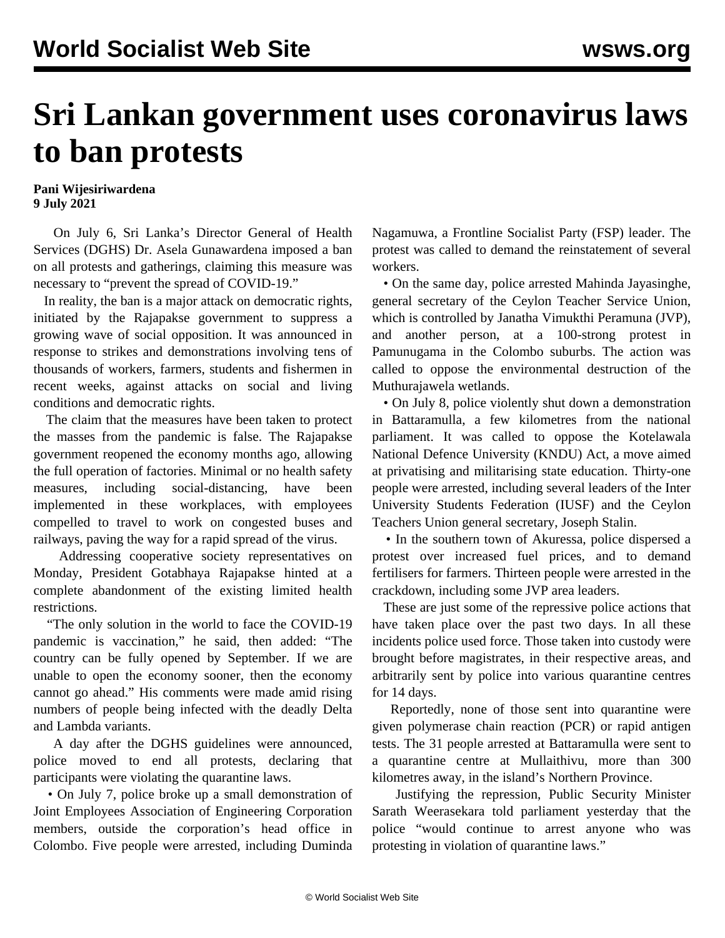## **Sri Lankan government uses coronavirus laws to ban protests**

## **Pani Wijesiriwardena 9 July 2021**

 On July 6, Sri Lanka's Director General of Health Services (DGHS) Dr. Asela Gunawardena imposed a ban on all protests and gatherings, claiming this measure was necessary to "prevent the spread of COVID-19."

 In reality, the ban is a major attack on democratic rights, initiated by the Rajapakse government to suppress a growing wave of social opposition. It was announced in response to strikes and demonstrations involving tens of thousands of workers, farmers, students and fishermen in recent weeks, against attacks on social and living conditions and democratic rights.

 The claim that the measures have been taken to protect the masses from the pandemic is false. The Rajapakse government reopened the economy months ago, allowing the full operation of factories. Minimal or no health safety measures, including social-distancing, have been implemented in these workplaces, with employees compelled to travel to work on congested buses and railways, paving the way for a rapid spread of the virus.

 Addressing cooperative society representatives on Monday, President Gotabhaya Rajapakse hinted at a complete abandonment of the existing limited health restrictions.

 "The only solution in the world to face the COVID-19 pandemic is vaccination," he said, then added: "The country can be fully opened by September. If we are unable to open the economy sooner, then the economy cannot go ahead." His comments were made amid rising numbers of people being infected with the deadly Delta and Lambda variants.

 A day after the DGHS guidelines were announced, police moved to end all protests, declaring that participants were violating the quarantine laws.

 • On July 7, police broke up a small demonstration of Joint Employees Association of Engineering Corporation members, outside the corporation's head office in Colombo. Five people were arrested, including Duminda

Nagamuwa, a Frontline Socialist Party (FSP) leader. The protest was called to demand the reinstatement of several workers.

 • On the same day, police arrested Mahinda Jayasinghe, general secretary of the Ceylon Teacher Service Union, which is controlled by Janatha Vimukthi Peramuna (JVP), and another person, at a 100-strong protest in Pamunugama in the Colombo suburbs. The action was called to oppose the environmental destruction of the Muthurajawela wetlands.

 • On July 8, police violently shut down a demonstration in Battaramulla, a few kilometres from the national parliament. It was called to oppose the Kotelawala National Defence University (KNDU) Act, a move aimed at privatising and militarising state education. Thirty-one people were arrested, including several leaders of the Inter University Students Federation (IUSF) and the Ceylon Teachers Union general secretary, Joseph Stalin.

 • In the southern town of Akuressa, police dispersed a protest over increased fuel prices, and to demand fertilisers for farmers. Thirteen people were arrested in the crackdown, including some JVP area leaders.

 These are just some of the repressive police actions that have taken place over the past two days. In all these incidents police used force. Those taken into custody were brought before magistrates, in their respective areas, and arbitrarily sent by police into various quarantine centres for 14 days.

 Reportedly, none of those sent into quarantine were given polymerase chain reaction (PCR) or rapid antigen tests. The 31 people arrested at Battaramulla were sent to a quarantine centre at Mullaithivu, more than 300 kilometres away, in the island's Northern Province.

 Justifying the repression, Public Security Minister Sarath Weerasekara told parliament yesterday that the police "would continue to arrest anyone who was protesting in violation of quarantine laws."